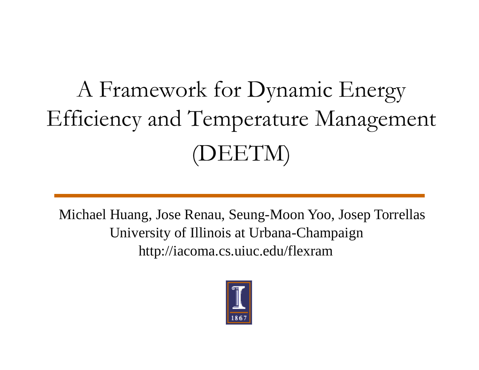## A Framework for Dynamic Energy Efficiency and Temperature Management (DEETM)

Michael Huang, Jose Renau, Seung-Moon Yoo, Josep Torrellas University of Illinois at Urbana-Champaign http://iacoma.cs.uiuc.edu/flexram

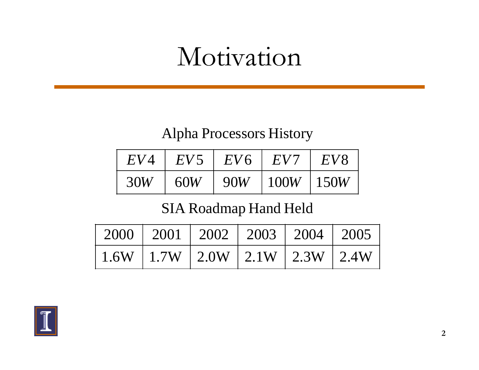#### Motivation

#### Alpha Processors History

| EV  | $EV^*$ | EV6 | EV   | EVS        |
|-----|--------|-----|------|------------|
| 30W | 60W    | 90W | 100W | $\pm 150W$ |

#### SIA Roadmap Hand Held

|                                           | 2000   2001   2002   2003   2004   2005 |  |  |
|-------------------------------------------|-----------------------------------------|--|--|
| $1.6W$   1.7W   2.0W   2.1W   2.3W   2.4W |                                         |  |  |

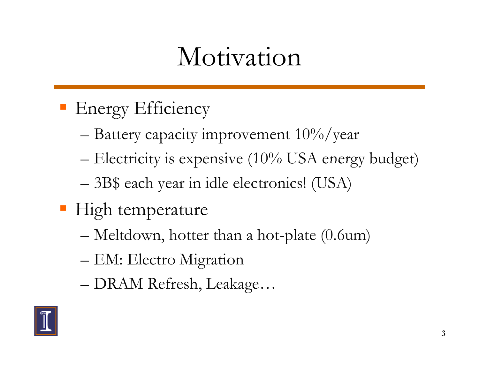### Motivation

- **Energy Efficiency** 
	- $-$  Battery capacity improvement  $10\%/year$
	- $-$  Electricity is expensive (10% USA energy budget)
	- 3B\$ each year in idle electronics! (USA)
- High temperature
	- Meltdown, hotter than a hot-plate (0.6um)
	- EM: Electro Migration
	- DRAM Refresh, Leakage...

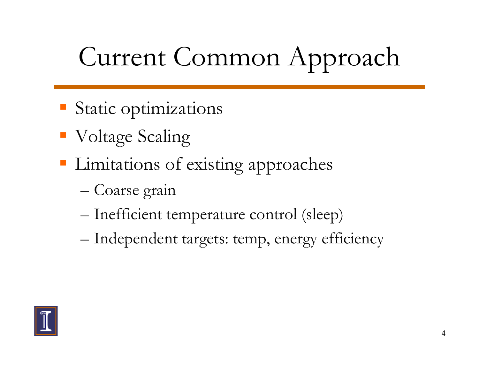# Current Common Approach

- Static optimizations
- Voltage Scaling
- Limitations of existing approaches
	- Coarse grain
	- Inefficient temperature control (sleep)
	- Independent targets: temp, energy efficiency

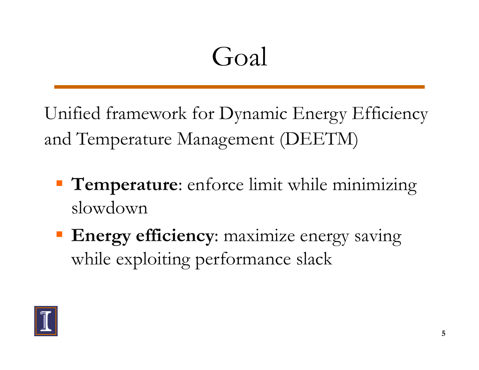## Goal

Unified framework for Dynamic Energy Efficiency and Temperature Management (DEETM)

- **Temperature**: enforce limit while minimizing slowdown
- **Energy efficiency:** maximize energy saving while exploiting performance slack

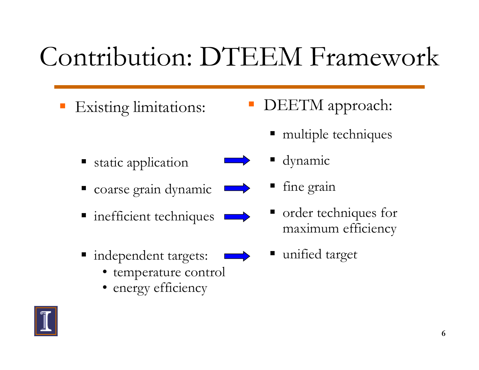## Contribution: DTEEM Framework

**Existing limitations:** 

- static application  $\qquad \qquad \qquad$  dynamic
	-
- **n** inefficient techniques

coarse grain dynamic

- independent targets:
	- temperature control
	- energy efficiency
- DEETM approach:
	- multiple techniques
	- - fine grain
		- order techniques for maximum efficiency
	- unified target

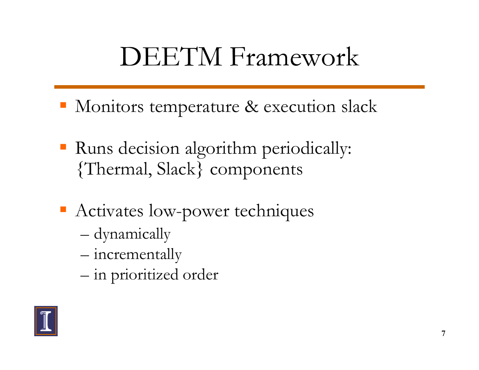### **DEETM** Framework

- Monitors temperature & execution slack
- Runs decision algorithm periodically: {Thermal, Slack} components
- Activates low-power techniques
	- dynamically
	- incrementally
	- in prioritized order

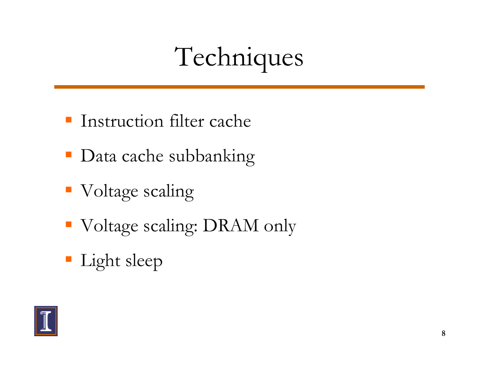# Techniques

- $\blacksquare$  Instruction filter cache
- Data cache subbanking
- Voltage scaling
- Voltage scaling: DRAM only
- Light sleep

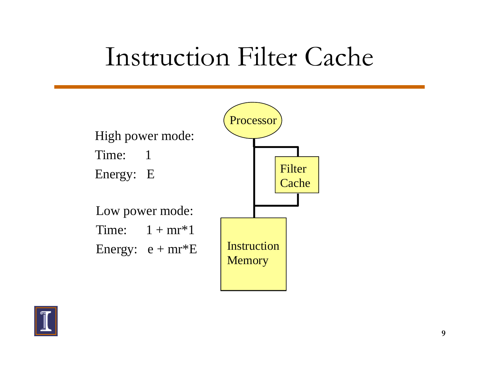#### Instruction Filter Cache



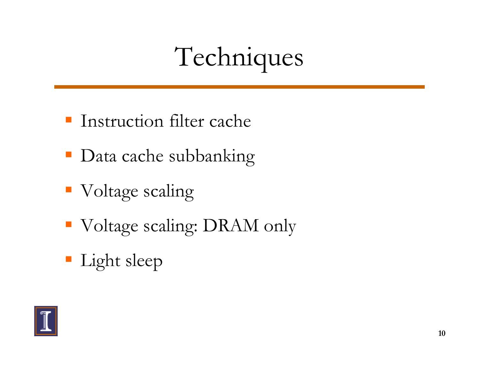# Techniques

- $\blacksquare$  Instruction filter cache
- Data cache subbanking
- Voltage scaling
- Voltage scaling: DRAM only
- Light sleep

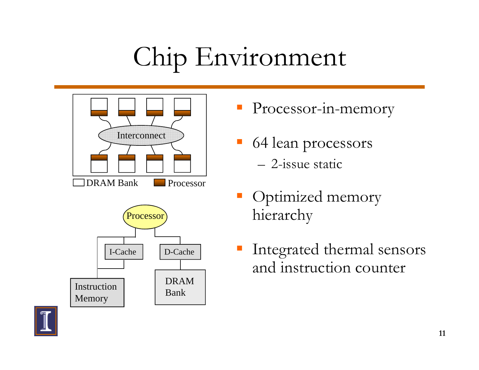# Chip Environment





- Processor-in-memory
- 64 lean processors – 2-issue static
- Optimized memory hierarchy
- e Integrated thermal sensors<br>
and instruction counter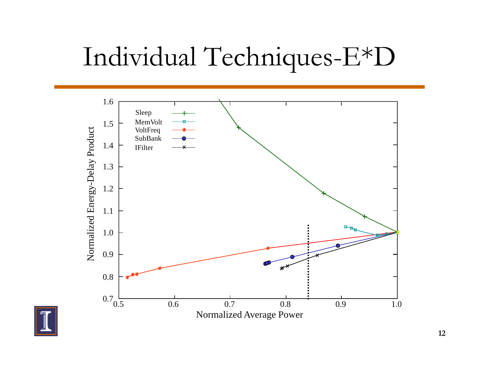### Individual Techni ques-E\*D



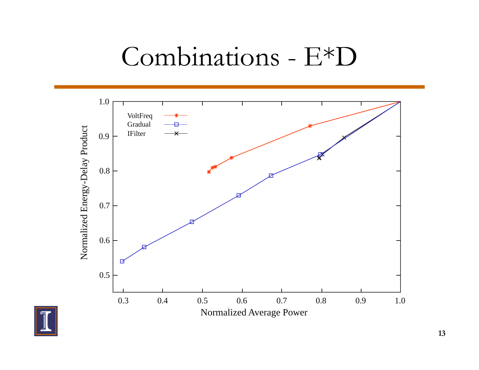#### Combinations - E\*D



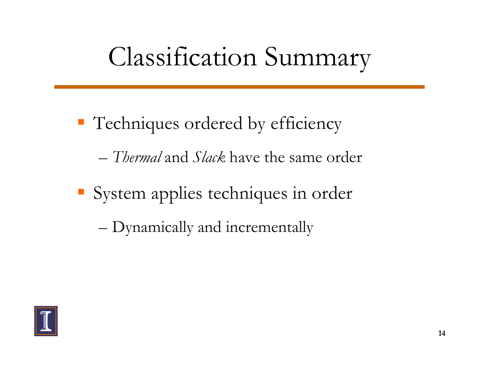#### Classification Summary

- Techniques ordered by efficiency
	- *Thermal* and *Slack* have the same order
- System applies techniques in order
	- Dynamically and incrementally

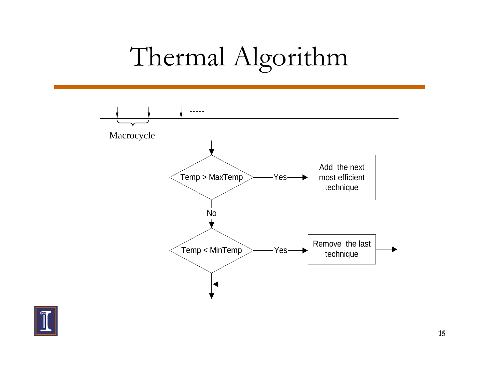## Thermal Algorithm



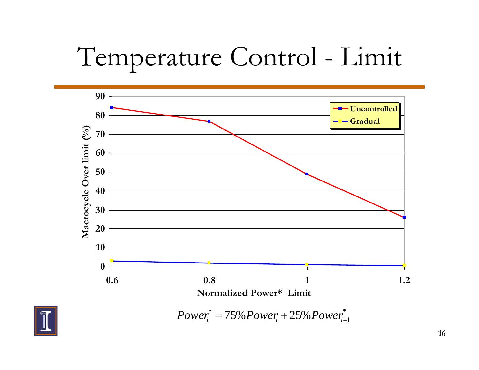### Temperature Control - Limit



\*<br>—1 \* *Poweri* <sup>=</sup> 75%*Poweri* <sup>+</sup> 25%*Poweri*<sup>−</sup>

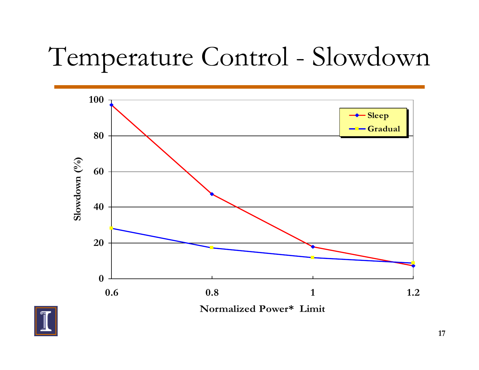## Temperature Control - Slowdown



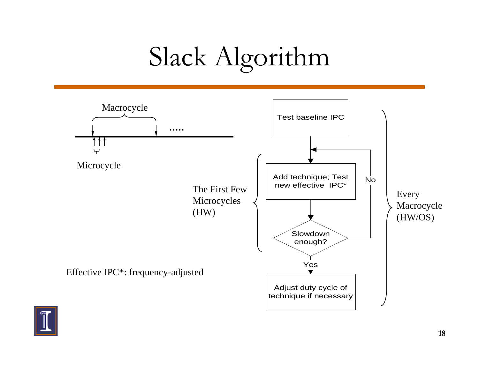# Slack Algorithm



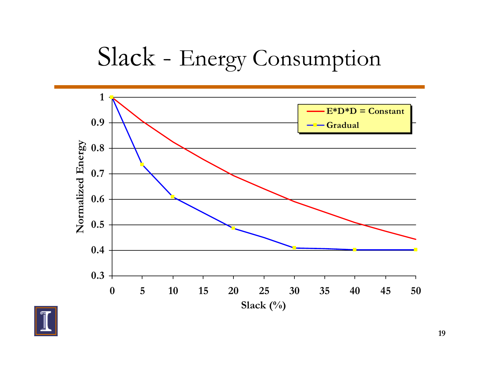#### Slack - Energy Consumption



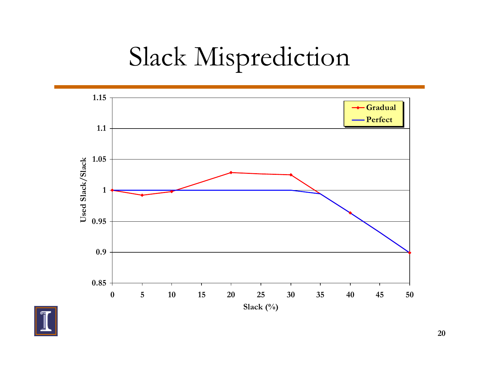## Slack Misprediction



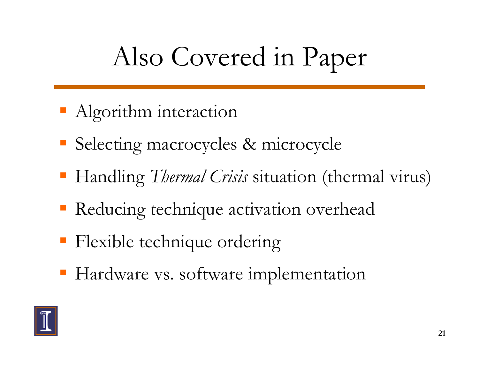#### Also Covered in Pa per

- Algorithm interaction
- Selecting macrocycles & microcycle
- Handling *Thermal Crisis* situation (thermal virus)
- Reducing technique activation overhead
- **Flexible technique ordering**
- **Hardware vs. software implementation**